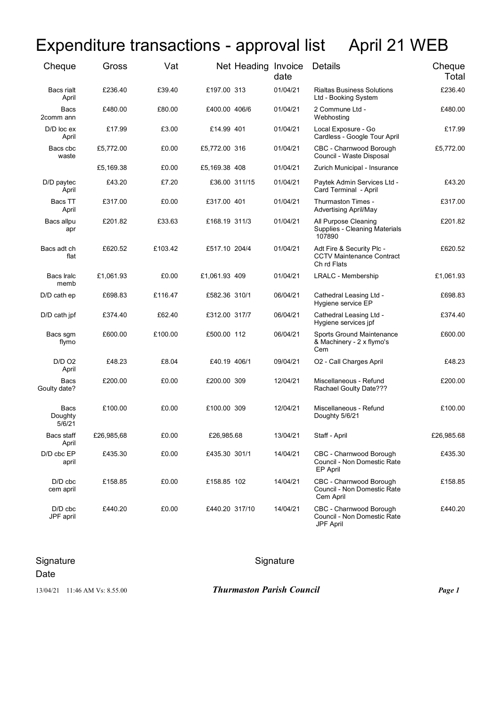## Expenditure transactions - approval list April 21 WEB

| Cheque                    | Gross      | Vat     |                | Net Heading Invoice | date     | <b>Details</b>                                                               | Cheque<br>Total |
|---------------------------|------------|---------|----------------|---------------------|----------|------------------------------------------------------------------------------|-----------------|
| Bacs rialt<br>April       | £236.40    | £39.40  | £197.00 313    |                     | 01/04/21 | <b>Rialtas Business Solutions</b><br>Ltd - Booking System                    | £236.40         |
| <b>Bacs</b><br>2comm ann  | £480.00    | £80.00  | £400.00 406/6  |                     | 01/04/21 | 2 Commune Ltd -<br>Webhosting                                                | £480.00         |
| D/D loc ex<br>April       | £17.99     | £3.00   | £14.99 401     |                     | 01/04/21 | Local Exposure - Go<br>Cardless - Google Tour April                          | £17.99          |
| Bacs cbc<br>waste         | £5,772.00  | £0.00   | £5,772.00 316  |                     | 01/04/21 | CBC - Charnwood Borough<br>Council - Waste Disposal                          | £5,772.00       |
|                           | £5,169.38  | £0.00   | £5,169.38 408  |                     | 01/04/21 | Zurich Municipal - Insurance                                                 |                 |
| D/D paytec<br>April       | £43.20     | £7.20   | £36.00 311/15  |                     | 01/04/21 | Paytek Admin Services Ltd -<br>Card Terminal - April                         | £43.20          |
| Bacs TT<br>April          | £317.00    | £0.00   | £317.00 401    |                     | 01/04/21 | Thurmaston Times -<br><b>Advertising April/May</b>                           | £317.00         |
| Bacs allpu<br>apr         | £201.82    | £33.63  | £168.19 311/3  |                     | 01/04/21 | All Purpose Cleaning<br>Supplies - Cleaning Materials<br>107890              | £201.82         |
| Bacs adt ch<br>flat       | £620.52    | £103.42 | £517.10 204/4  |                     | 01/04/21 | Adt Fire & Security Plc -<br><b>CCTV Maintenance Contract</b><br>Ch rd Flats | £620.52         |
| Bacs Iralc<br>memb        | £1,061.93  | £0.00   | £1,061.93 409  |                     | 01/04/21 | LRALC - Membership                                                           | £1,061.93       |
| D/D cath ep               | £698.83    | £116.47 | £582.36 310/1  |                     | 06/04/21 | Cathedral Leasing Ltd -<br>Hygiene service EP                                | £698.83         |
| D/D cath jpf              | £374.40    | £62.40  | £312.00 317/7  |                     | 06/04/21 | Cathedral Leasing Ltd -<br>Hygiene services jpf                              | £374.40         |
| Bacs sgm<br>flymo         | £600.00    | £100.00 | £500.00 112    |                     | 06/04/21 | Sports Ground Maintenance<br>& Machinery - 2 x flymo's<br>Cem                | £600.00         |
| <b>D/D O2</b><br>April    | £48.23     | £8.04   | £40.19 406/1   |                     | 09/04/21 | O2 - Call Charges April                                                      | £48.23          |
| Bacs<br>Goulty date?      | £200.00    | £0.00   | £200.00 309    |                     | 12/04/21 | Miscellaneous - Refund<br>Rachael Goulty Date???                             | £200.00         |
| Bacs<br>Doughty<br>5/6/21 | £100.00    | £0.00   | £100.00 309    |                     | 12/04/21 | Miscellaneous - Refund<br>Doughty 5/6/21                                     | £100.00         |
| Bacs staff<br>April       | £26,985,68 | £0.00   | £26,985.68     |                     | 13/04/21 | Staff - April                                                                | £26,985.68      |
| D/D cbc EP<br>april       | £435.30    | £0.00   | £435.30 301/1  |                     | 14/04/21 | CBC - Charnwood Borough<br>Council - Non Domestic Rate<br>EP April           | £435.30         |
| D/D cbc<br>cem april      | £158.85    | £0.00   | £158.85 102    |                     | 14/04/21 | CBC - Charnwood Borough<br>Council - Non Domestic Rate<br>Cem April          | £158.85         |
| D/D cbc<br>JPF april      | £440.20    | £0.00   | £440.20 317/10 |                     | 14/04/21 | CBC - Charnwood Borough<br>Council - Non Domestic Rate<br>JPF April          | £440.20         |

## Signature Signature Signature Signature

Date

13/04/21 11:46 AM Vs: 8.55.00 *Thurmaston Parish Council Page 1*